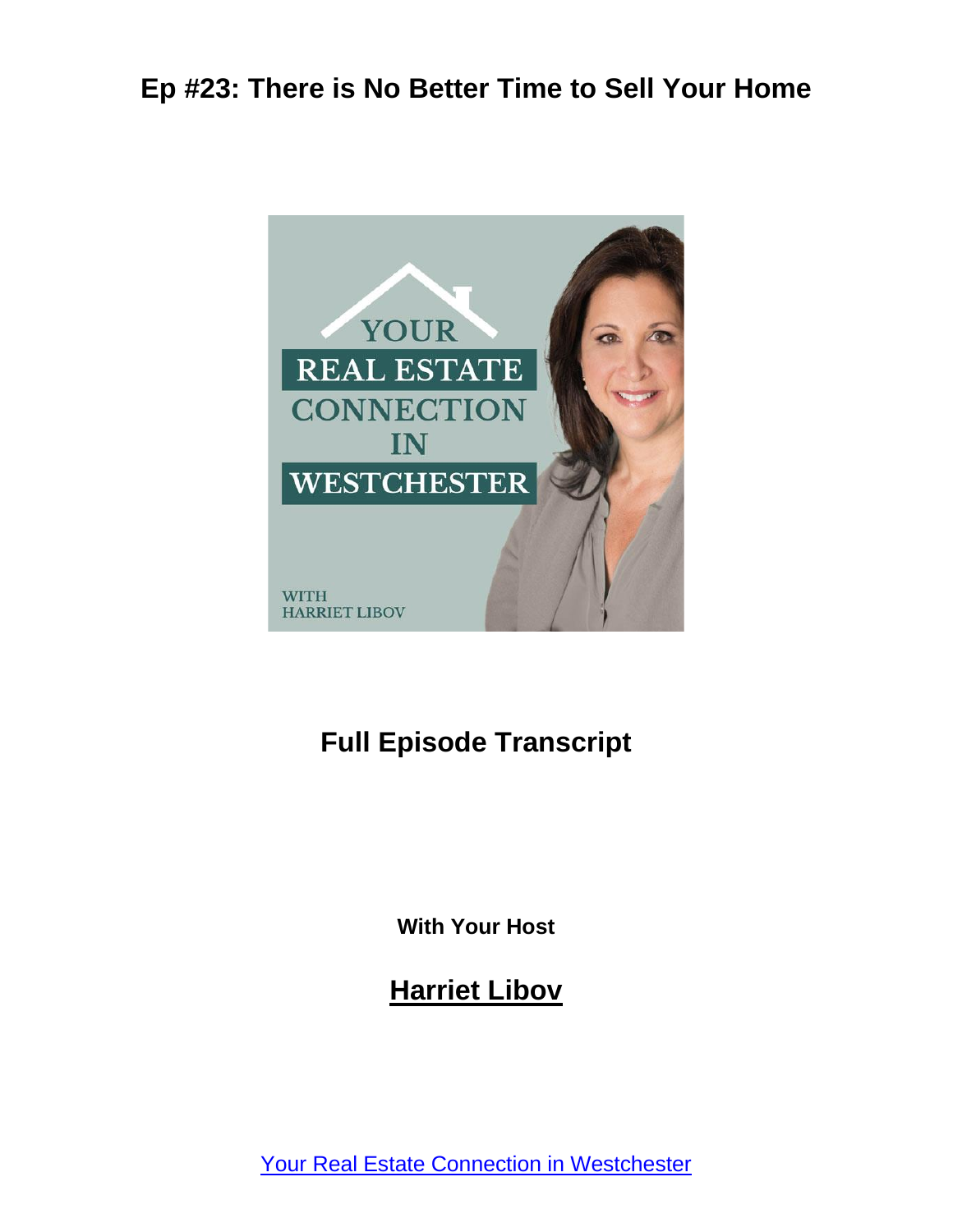

# **Full Episode Transcript**

**With Your Host**

**Harriet Libov**

[Your Real Estate Connection in Westchester](https://connectnorthofnyc.com/podcast)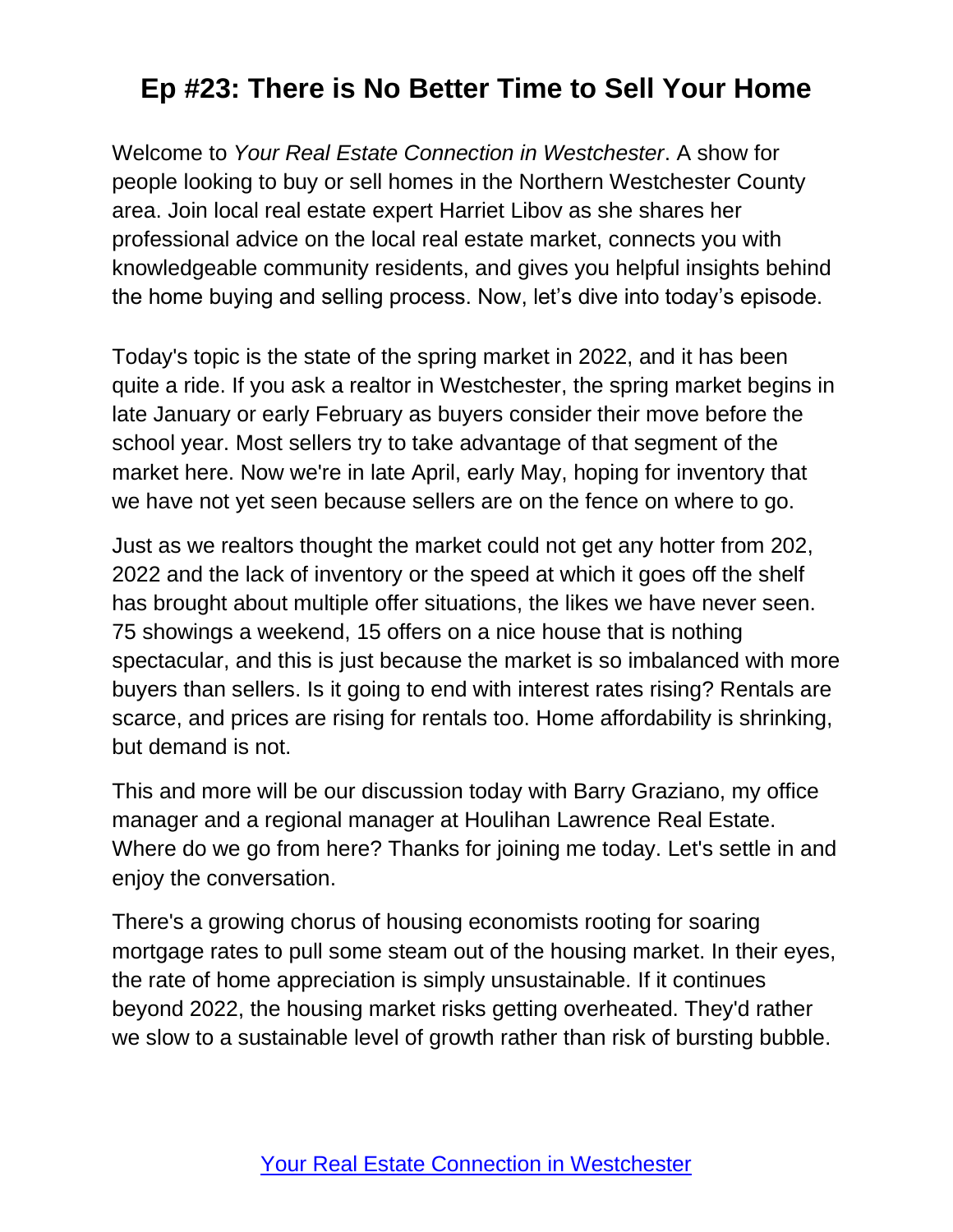Welcome to *Your Real Estate Connection in Westchester*. A show for people looking to buy or sell homes in the Northern Westchester County area. Join local real estate expert Harriet Libov as she shares her professional advice on the local real estate market, connects you with knowledgeable community residents, and gives you helpful insights behind the home buying and selling process. Now, let's dive into today's episode.

Today's topic is the state of the spring market in 2022, and it has been quite a ride. If you ask a realtor in Westchester, the spring market begins in late January or early February as buyers consider their move before the school year. Most sellers try to take advantage of that segment of the market here. Now we're in late April, early May, hoping for inventory that we have not yet seen because sellers are on the fence on where to go.

Just as we realtors thought the market could not get any hotter from 202, 2022 and the lack of inventory or the speed at which it goes off the shelf has brought about multiple offer situations, the likes we have never seen. 75 showings a weekend, 15 offers on a nice house that is nothing spectacular, and this is just because the market is so imbalanced with more buyers than sellers. Is it going to end with interest rates rising? Rentals are scarce, and prices are rising for rentals too. Home affordability is shrinking, but demand is not.

This and more will be our discussion today with Barry Graziano, my office manager and a regional manager at Houlihan Lawrence Real Estate. Where do we go from here? Thanks for joining me today. Let's settle in and enjoy the conversation.

There's a growing chorus of housing economists rooting for soaring mortgage rates to pull some steam out of the housing market. In their eyes, the rate of home appreciation is simply unsustainable. If it continues beyond 2022, the housing market risks getting overheated. They'd rather we slow to a sustainable level of growth rather than risk of bursting bubble.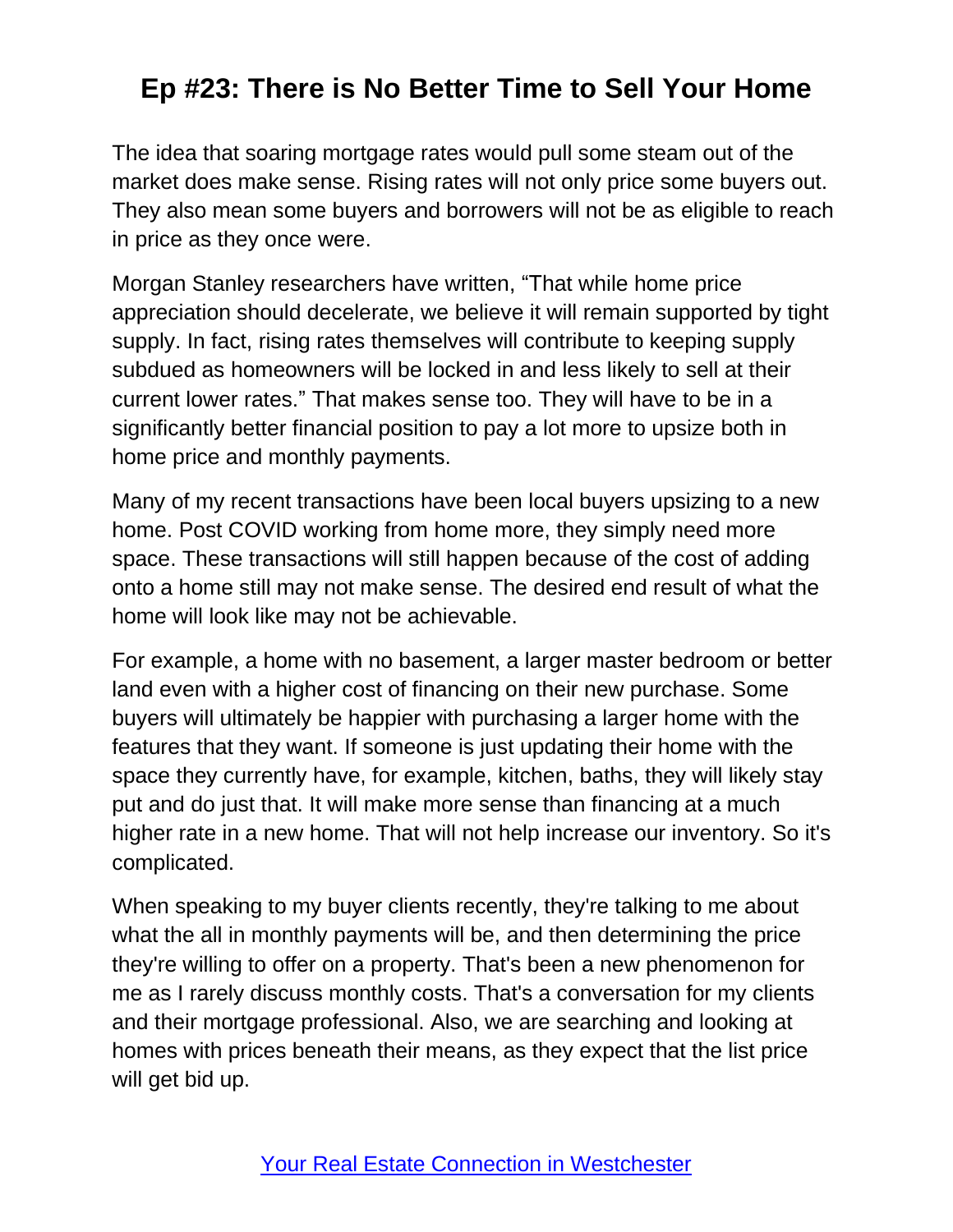The idea that soaring mortgage rates would pull some steam out of the market does make sense. Rising rates will not only price some buyers out. They also mean some buyers and borrowers will not be as eligible to reach in price as they once were.

Morgan Stanley researchers have written, "That while home price appreciation should decelerate, we believe it will remain supported by tight supply. In fact, rising rates themselves will contribute to keeping supply subdued as homeowners will be locked in and less likely to sell at their current lower rates." That makes sense too. They will have to be in a significantly better financial position to pay a lot more to upsize both in home price and monthly payments.

Many of my recent transactions have been local buyers upsizing to a new home. Post COVID working from home more, they simply need more space. These transactions will still happen because of the cost of adding onto a home still may not make sense. The desired end result of what the home will look like may not be achievable.

For example, a home with no basement, a larger master bedroom or better land even with a higher cost of financing on their new purchase. Some buyers will ultimately be happier with purchasing a larger home with the features that they want. If someone is just updating their home with the space they currently have, for example, kitchen, baths, they will likely stay put and do just that. It will make more sense than financing at a much higher rate in a new home. That will not help increase our inventory. So it's complicated.

When speaking to my buyer clients recently, they're talking to me about what the all in monthly payments will be, and then determining the price they're willing to offer on a property. That's been a new phenomenon for me as I rarely discuss monthly costs. That's a conversation for my clients and their mortgage professional. Also, we are searching and looking at homes with prices beneath their means, as they expect that the list price will get bid up.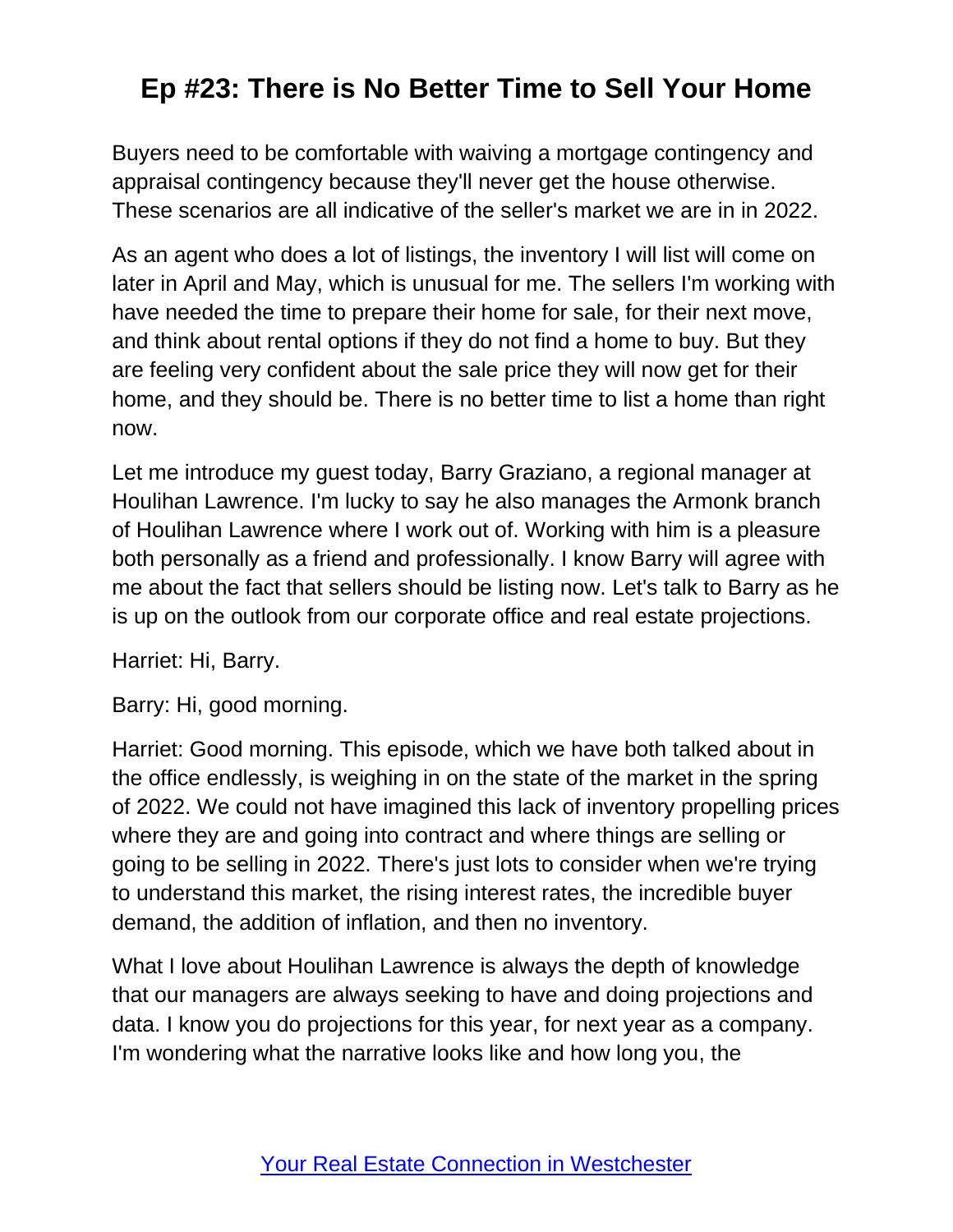Buyers need to be comfortable with waiving a mortgage contingency and appraisal contingency because they'll never get the house otherwise. These scenarios are all indicative of the seller's market we are in in 2022.

As an agent who does a lot of listings, the inventory I will list will come on later in April and May, which is unusual for me. The sellers I'm working with have needed the time to prepare their home for sale, for their next move, and think about rental options if they do not find a home to buy. But they are feeling very confident about the sale price they will now get for their home, and they should be. There is no better time to list a home than right now.

Let me introduce my guest today, Barry Graziano, a regional manager at Houlihan Lawrence. I'm lucky to say he also manages the Armonk branch of Houlihan Lawrence where I work out of. Working with him is a pleasure both personally as a friend and professionally. I know Barry will agree with me about the fact that sellers should be listing now. Let's talk to Barry as he is up on the outlook from our corporate office and real estate projections.

Harriet: Hi, Barry.

Barry: Hi, good morning.

Harriet: Good morning. This episode, which we have both talked about in the office endlessly, is weighing in on the state of the market in the spring of 2022. We could not have imagined this lack of inventory propelling prices where they are and going into contract and where things are selling or going to be selling in 2022. There's just lots to consider when we're trying to understand this market, the rising interest rates, the incredible buyer demand, the addition of inflation, and then no inventory.

What I love about Houlihan Lawrence is always the depth of knowledge that our managers are always seeking to have and doing projections and data. I know you do projections for this year, for next year as a company. I'm wondering what the narrative looks like and how long you, the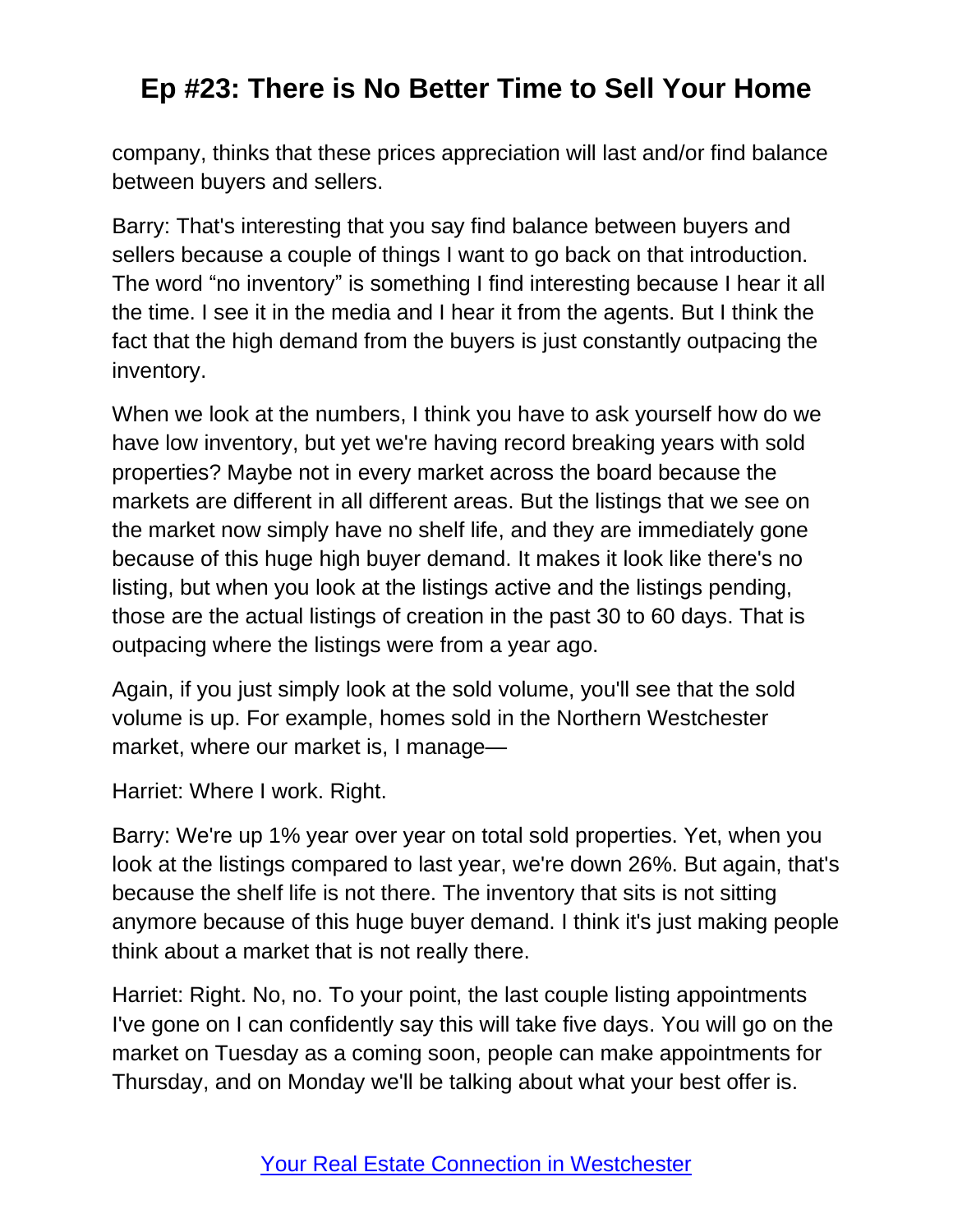company, thinks that these prices appreciation will last and/or find balance between buyers and sellers.

Barry: That's interesting that you say find balance between buyers and sellers because a couple of things I want to go back on that introduction. The word "no inventory" is something I find interesting because I hear it all the time. I see it in the media and I hear it from the agents. But I think the fact that the high demand from the buyers is just constantly outpacing the inventory.

When we look at the numbers, I think you have to ask yourself how do we have low inventory, but yet we're having record breaking years with sold properties? Maybe not in every market across the board because the markets are different in all different areas. But the listings that we see on the market now simply have no shelf life, and they are immediately gone because of this huge high buyer demand. It makes it look like there's no listing, but when you look at the listings active and the listings pending, those are the actual listings of creation in the past 30 to 60 days. That is outpacing where the listings were from a year ago.

Again, if you just simply look at the sold volume, you'll see that the sold volume is up. For example, homes sold in the Northern Westchester market, where our market is, I manage—

Harriet: Where I work. Right.

Barry: We're up 1% year over year on total sold properties. Yet, when you look at the listings compared to last year, we're down 26%. But again, that's because the shelf life is not there. The inventory that sits is not sitting anymore because of this huge buyer demand. I think it's just making people think about a market that is not really there.

Harriet: Right. No, no. To your point, the last couple listing appointments I've gone on I can confidently say this will take five days. You will go on the market on Tuesday as a coming soon, people can make appointments for Thursday, and on Monday we'll be talking about what your best offer is.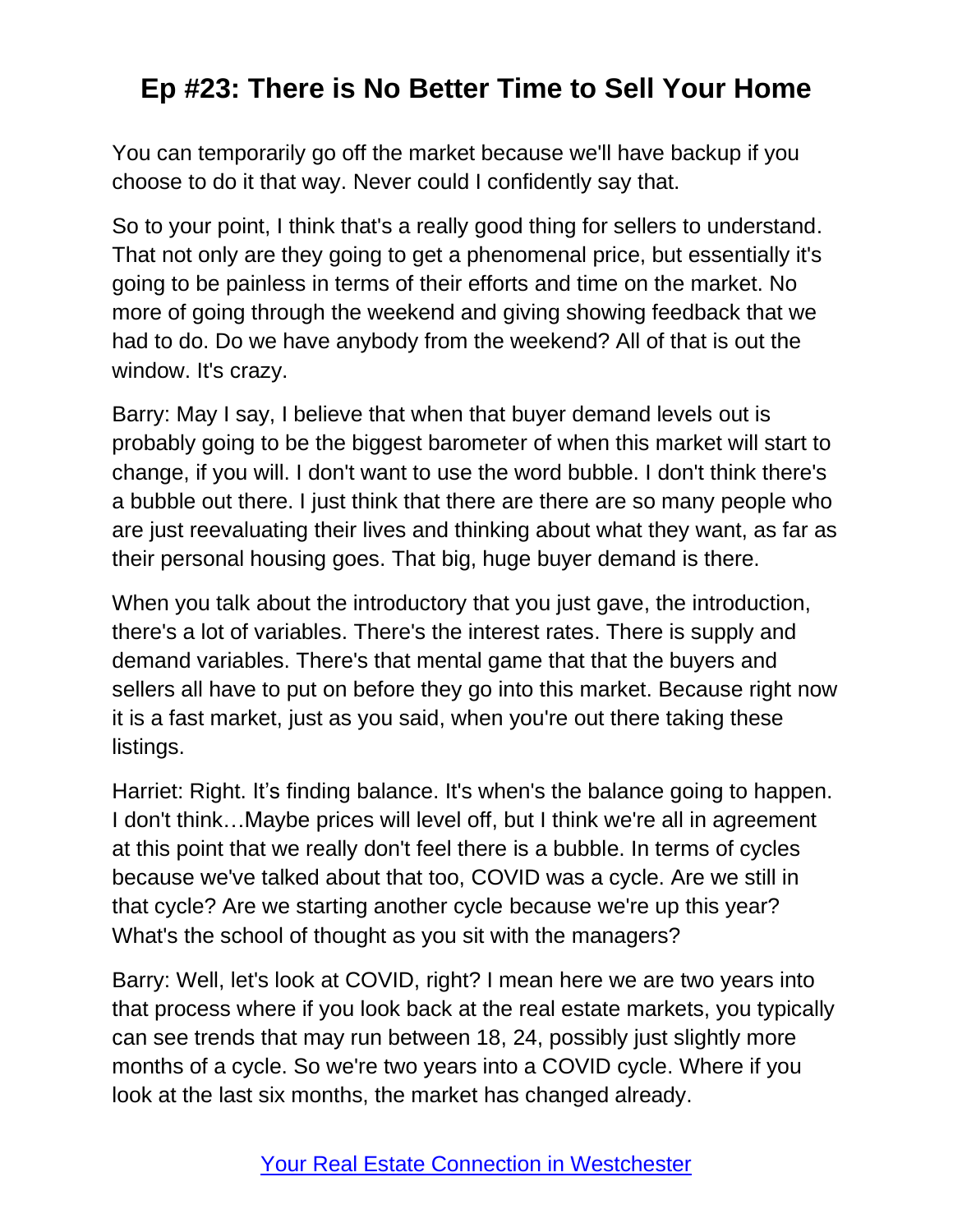You can temporarily go off the market because we'll have backup if you choose to do it that way. Never could I confidently say that.

So to your point, I think that's a really good thing for sellers to understand. That not only are they going to get a phenomenal price, but essentially it's going to be painless in terms of their efforts and time on the market. No more of going through the weekend and giving showing feedback that we had to do. Do we have anybody from the weekend? All of that is out the window. It's crazy.

Barry: May I say, I believe that when that buyer demand levels out is probably going to be the biggest barometer of when this market will start to change, if you will. I don't want to use the word bubble. I don't think there's a bubble out there. I just think that there are there are so many people who are just reevaluating their lives and thinking about what they want, as far as their personal housing goes. That big, huge buyer demand is there.

When you talk about the introductory that you just gave, the introduction, there's a lot of variables. There's the interest rates. There is supply and demand variables. There's that mental game that that the buyers and sellers all have to put on before they go into this market. Because right now it is a fast market, just as you said, when you're out there taking these listings.

Harriet: Right. It's finding balance. It's when's the balance going to happen. I don't think…Maybe prices will level off, but I think we're all in agreement at this point that we really don't feel there is a bubble. In terms of cycles because we've talked about that too, COVID was a cycle. Are we still in that cycle? Are we starting another cycle because we're up this year? What's the school of thought as you sit with the managers?

Barry: Well, let's look at COVID, right? I mean here we are two years into that process where if you look back at the real estate markets, you typically can see trends that may run between 18, 24, possibly just slightly more months of a cycle. So we're two years into a COVID cycle. Where if you look at the last six months, the market has changed already.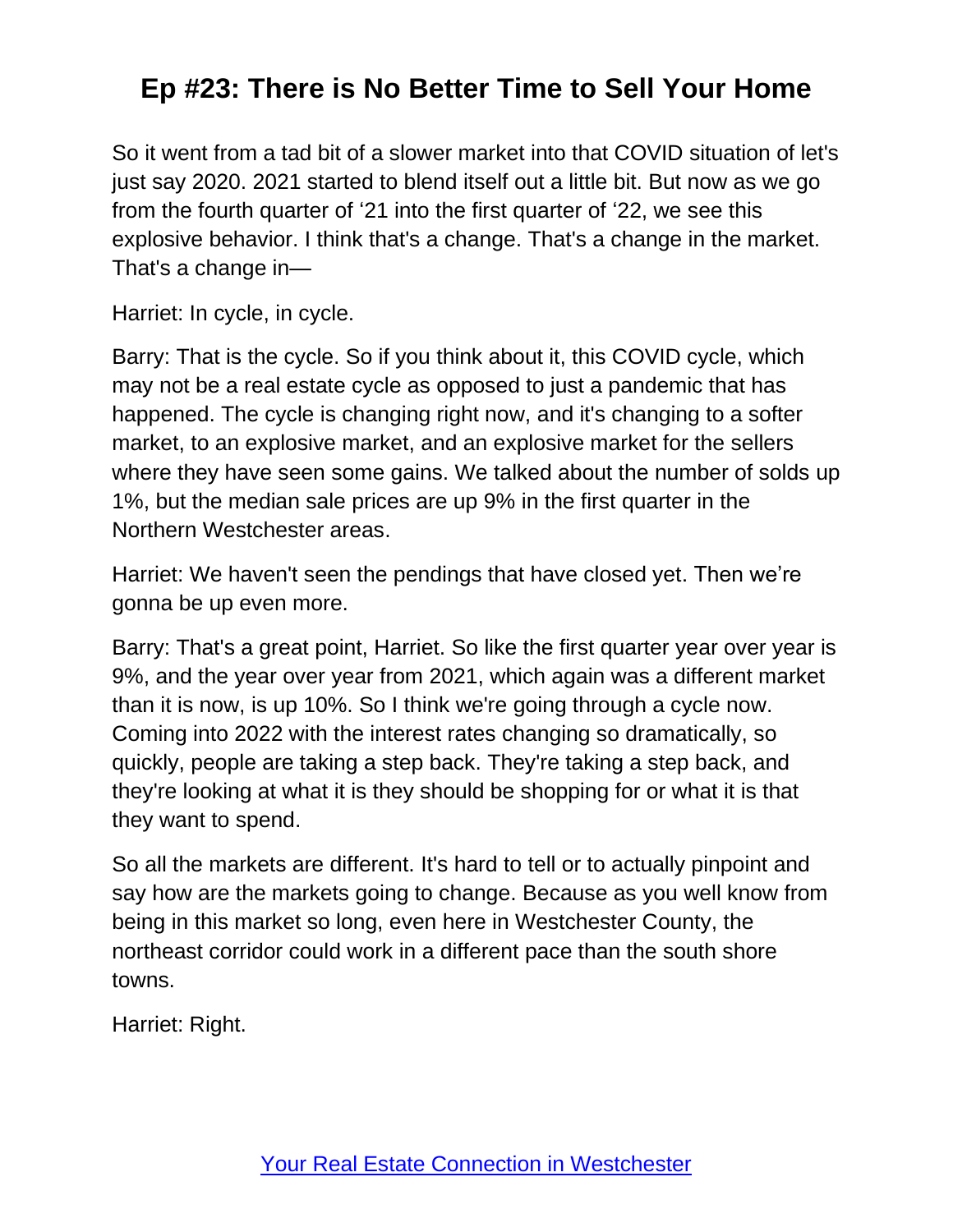So it went from a tad bit of a slower market into that COVID situation of let's just say 2020. 2021 started to blend itself out a little bit. But now as we go from the fourth quarter of '21 into the first quarter of '22, we see this explosive behavior. I think that's a change. That's a change in the market. That's a change in—

Harriet: In cycle, in cycle.

Barry: That is the cycle. So if you think about it, this COVID cycle, which may not be a real estate cycle as opposed to just a pandemic that has happened. The cycle is changing right now, and it's changing to a softer market, to an explosive market, and an explosive market for the sellers where they have seen some gains. We talked about the number of solds up 1%, but the median sale prices are up 9% in the first quarter in the Northern Westchester areas.

Harriet: We haven't seen the pendings that have closed yet. Then we're gonna be up even more.

Barry: That's a great point, Harriet. So like the first quarter year over year is 9%, and the year over year from 2021, which again was a different market than it is now, is up 10%. So I think we're going through a cycle now. Coming into 2022 with the interest rates changing so dramatically, so quickly, people are taking a step back. They're taking a step back, and they're looking at what it is they should be shopping for or what it is that they want to spend.

So all the markets are different. It's hard to tell or to actually pinpoint and say how are the markets going to change. Because as you well know from being in this market so long, even here in Westchester County, the northeast corridor could work in a different pace than the south shore towns.

Harriet: Right.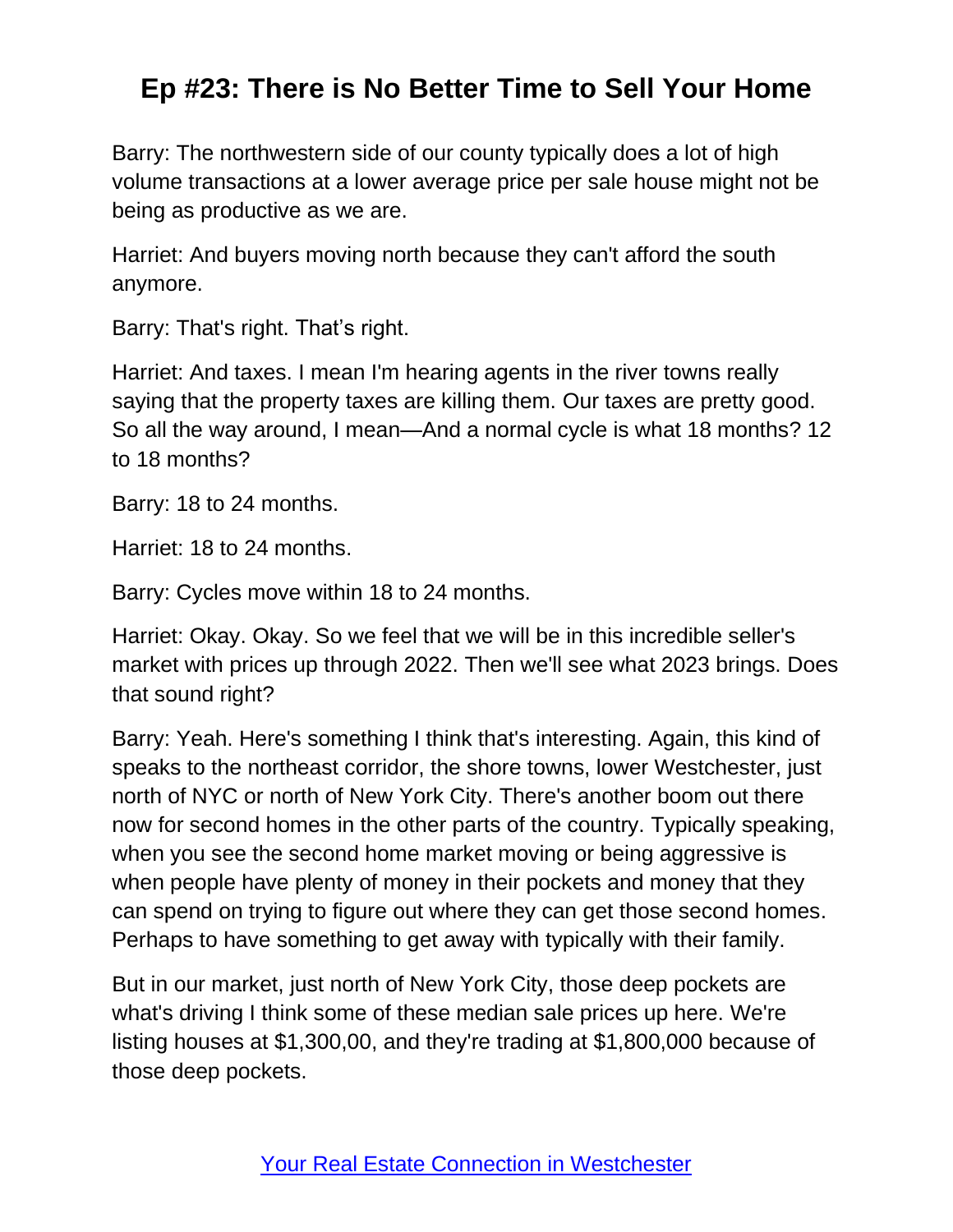Barry: The northwestern side of our county typically does a lot of high volume transactions at a lower average price per sale house might not be being as productive as we are.

Harriet: And buyers moving north because they can't afford the south anymore.

Barry: That's right. That's right.

Harriet: And taxes. I mean I'm hearing agents in the river towns really saying that the property taxes are killing them. Our taxes are pretty good. So all the way around, I mean—And a normal cycle is what 18 months? 12 to 18 months?

Barry: 18 to 24 months.

Harriet: 18 to 24 months.

Barry: Cycles move within 18 to 24 months.

Harriet: Okay. Okay. So we feel that we will be in this incredible seller's market with prices up through 2022. Then we'll see what 2023 brings. Does that sound right?

Barry: Yeah. Here's something I think that's interesting. Again, this kind of speaks to the northeast corridor, the shore towns, lower Westchester, just north of NYC or north of New York City. There's another boom out there now for second homes in the other parts of the country. Typically speaking, when you see the second home market moving or being aggressive is when people have plenty of money in their pockets and money that they can spend on trying to figure out where they can get those second homes. Perhaps to have something to get away with typically with their family.

But in our market, just north of New York City, those deep pockets are what's driving I think some of these median sale prices up here. We're listing houses at \$1,300,00, and they're trading at \$1,800,000 because of those deep pockets.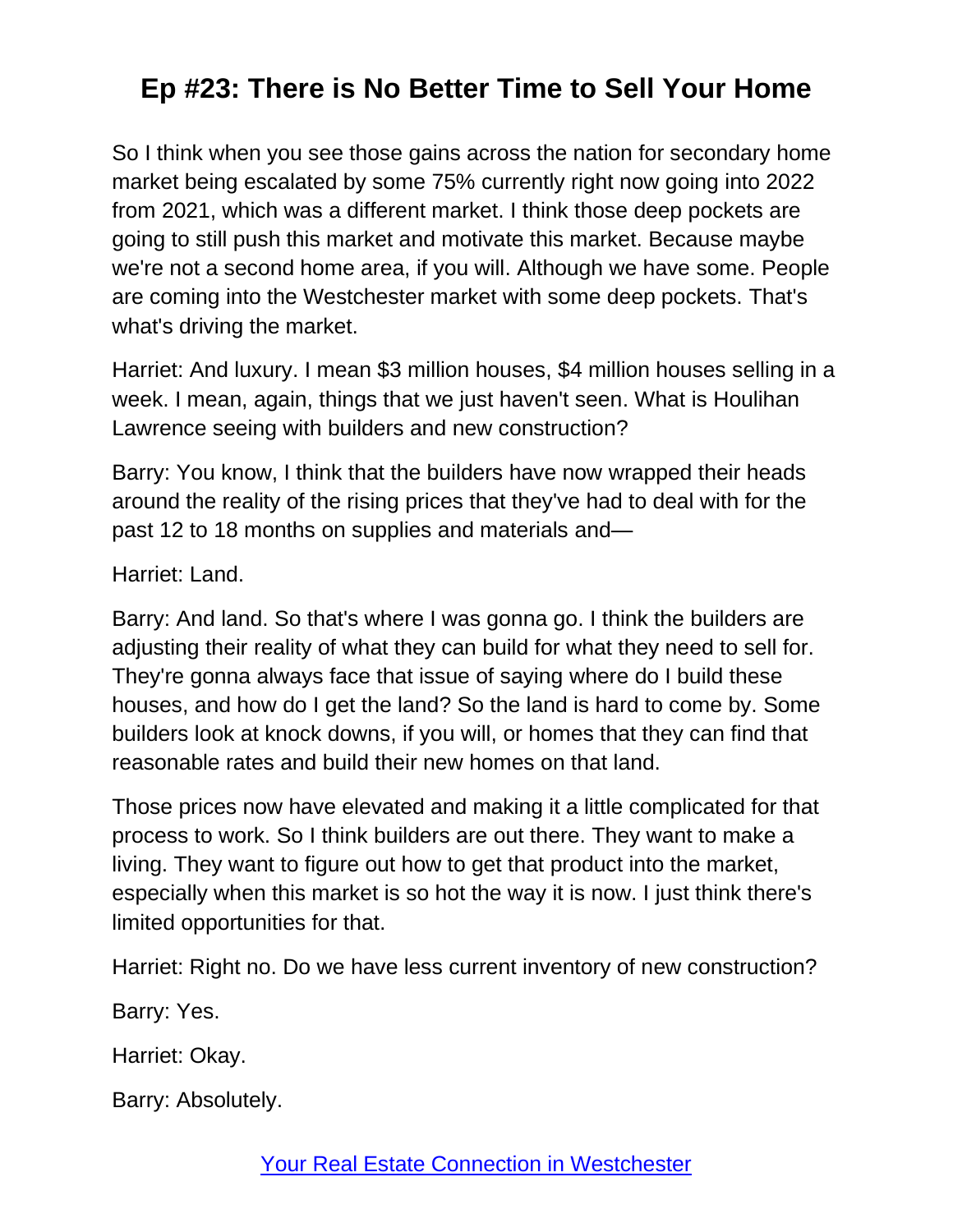So I think when you see those gains across the nation for secondary home market being escalated by some 75% currently right now going into 2022 from 2021, which was a different market. I think those deep pockets are going to still push this market and motivate this market. Because maybe we're not a second home area, if you will. Although we have some. People are coming into the Westchester market with some deep pockets. That's what's driving the market.

Harriet: And luxury. I mean \$3 million houses, \$4 million houses selling in a week. I mean, again, things that we just haven't seen. What is Houlihan Lawrence seeing with builders and new construction?

Barry: You know, I think that the builders have now wrapped their heads around the reality of the rising prices that they've had to deal with for the past 12 to 18 months on supplies and materials and—

Harriet: Land.

Barry: And land. So that's where I was gonna go. I think the builders are adjusting their reality of what they can build for what they need to sell for. They're gonna always face that issue of saying where do I build these houses, and how do I get the land? So the land is hard to come by. Some builders look at knock downs, if you will, or homes that they can find that reasonable rates and build their new homes on that land.

Those prices now have elevated and making it a little complicated for that process to work. So I think builders are out there. They want to make a living. They want to figure out how to get that product into the market, especially when this market is so hot the way it is now. I just think there's limited opportunities for that.

Harriet: Right no. Do we have less current inventory of new construction?

Barry: Yes.

Harriet: Okay.

Barry: Absolutely.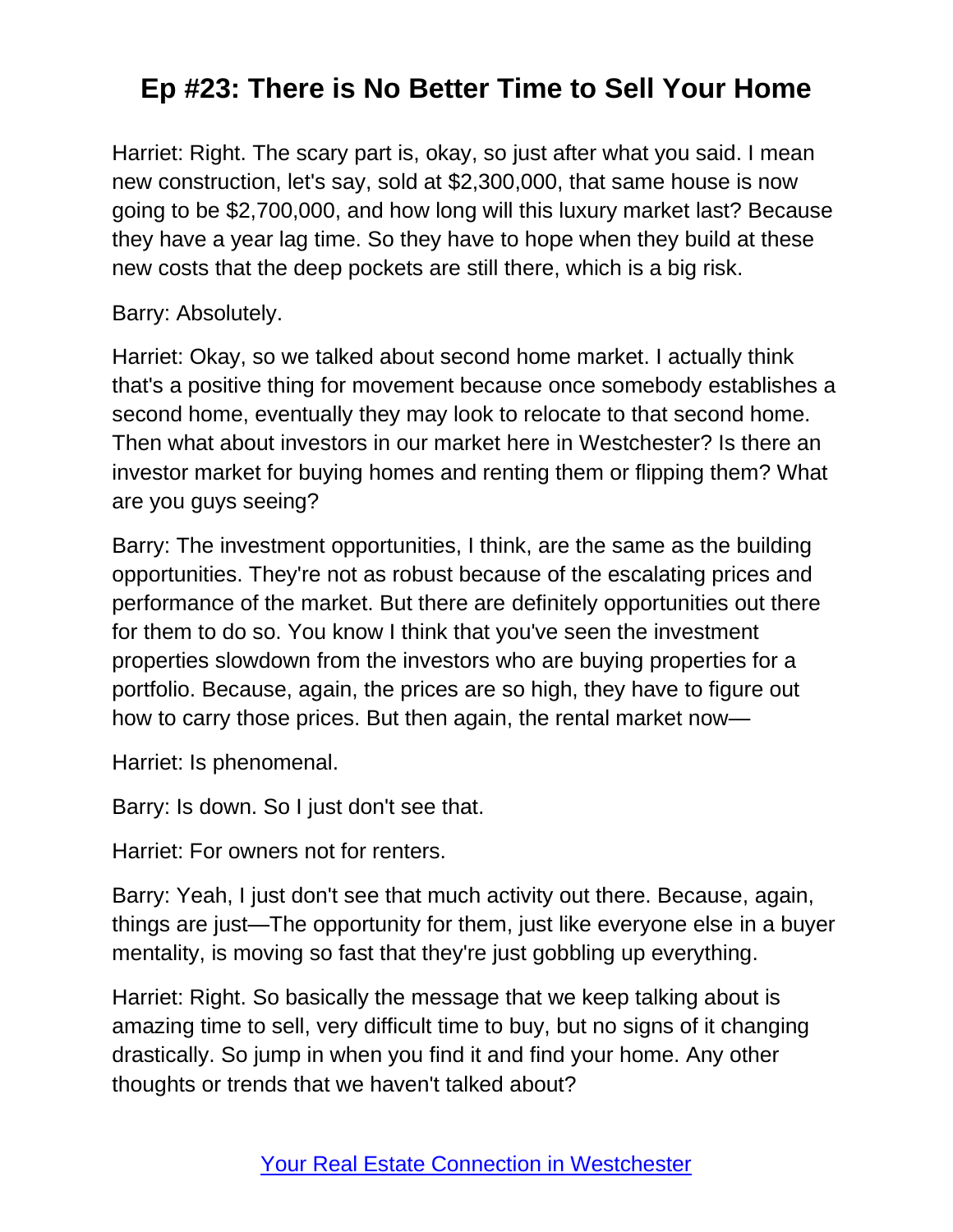Harriet: Right. The scary part is, okay, so just after what you said. I mean new construction, let's say, sold at \$2,300,000, that same house is now going to be \$2,700,000, and how long will this luxury market last? Because they have a year lag time. So they have to hope when they build at these new costs that the deep pockets are still there, which is a big risk.

#### Barry: Absolutely.

Harriet: Okay, so we talked about second home market. I actually think that's a positive thing for movement because once somebody establishes a second home, eventually they may look to relocate to that second home. Then what about investors in our market here in Westchester? Is there an investor market for buying homes and renting them or flipping them? What are you guys seeing?

Barry: The investment opportunities, I think, are the same as the building opportunities. They're not as robust because of the escalating prices and performance of the market. But there are definitely opportunities out there for them to do so. You know I think that you've seen the investment properties slowdown from the investors who are buying properties for a portfolio. Because, again, the prices are so high, they have to figure out how to carry those prices. But then again, the rental market now—

Harriet: Is phenomenal.

Barry: Is down. So I just don't see that.

Harriet: For owners not for renters.

Barry: Yeah, I just don't see that much activity out there. Because, again, things are just—The opportunity for them, just like everyone else in a buyer mentality, is moving so fast that they're just gobbling up everything.

Harriet: Right. So basically the message that we keep talking about is amazing time to sell, very difficult time to buy, but no signs of it changing drastically. So jump in when you find it and find your home. Any other thoughts or trends that we haven't talked about?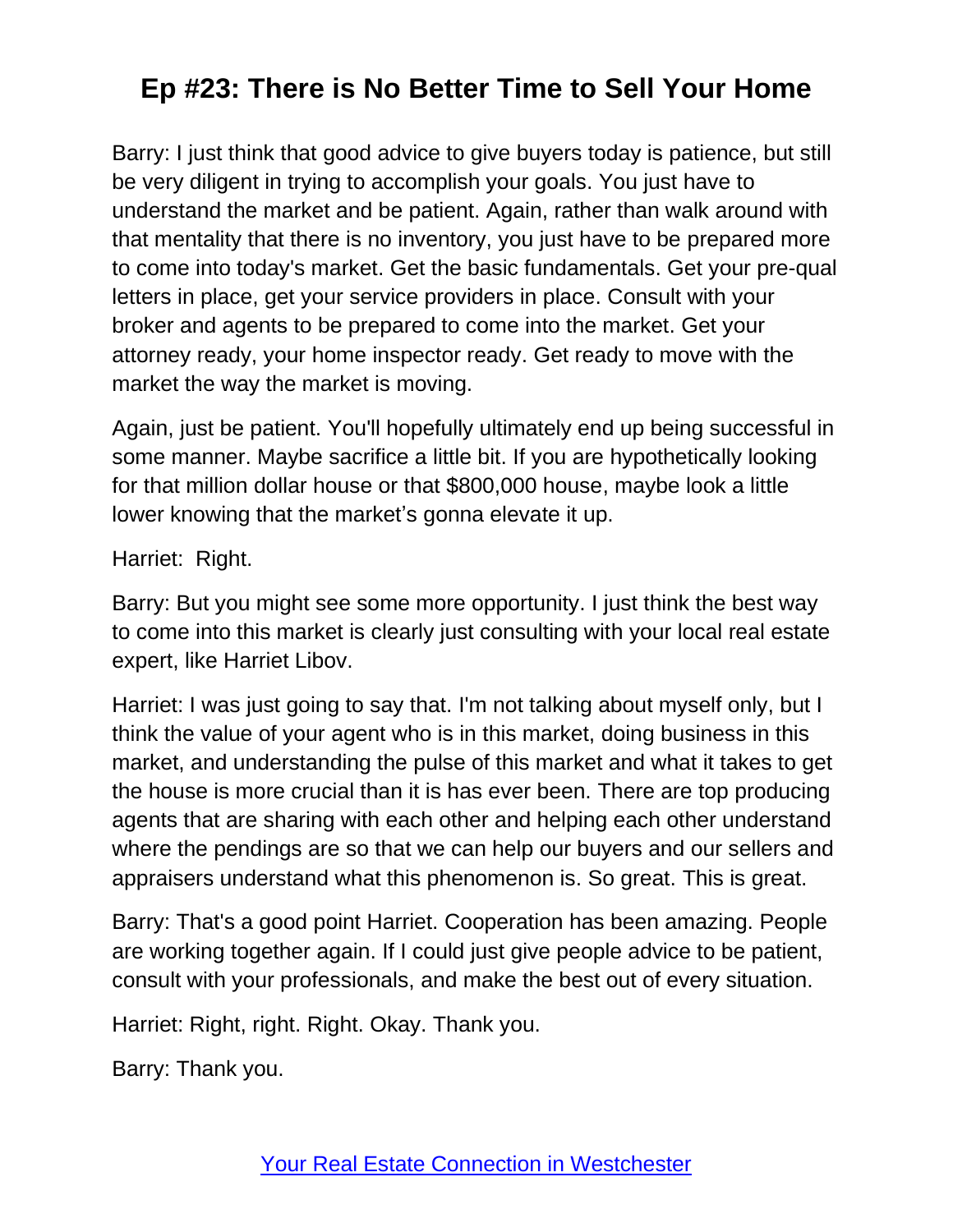Barry: I just think that good advice to give buyers today is patience, but still be very diligent in trying to accomplish your goals. You just have to understand the market and be patient. Again, rather than walk around with that mentality that there is no inventory, you just have to be prepared more to come into today's market. Get the basic fundamentals. Get your pre-qual letters in place, get your service providers in place. Consult with your broker and agents to be prepared to come into the market. Get your attorney ready, your home inspector ready. Get ready to move with the market the way the market is moving.

Again, just be patient. You'll hopefully ultimately end up being successful in some manner. Maybe sacrifice a little bit. If you are hypothetically looking for that million dollar house or that \$800,000 house, maybe look a little lower knowing that the market's gonna elevate it up.

Harriet: Right.

Barry: But you might see some more opportunity. I just think the best way to come into this market is clearly just consulting with your local real estate expert, like Harriet Libov.

Harriet: I was just going to say that. I'm not talking about myself only, but I think the value of your agent who is in this market, doing business in this market, and understanding the pulse of this market and what it takes to get the house is more crucial than it is has ever been. There are top producing agents that are sharing with each other and helping each other understand where the pendings are so that we can help our buyers and our sellers and appraisers understand what this phenomenon is. So great. This is great.

Barry: That's a good point Harriet. Cooperation has been amazing. People are working together again. If I could just give people advice to be patient, consult with your professionals, and make the best out of every situation.

Harriet: Right, right. Right. Okay. Thank you.

Barry: Thank you.